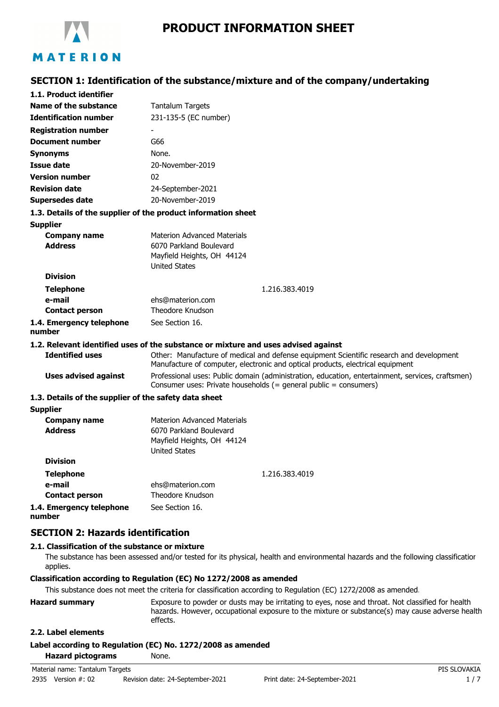

# **SECTION 1: Identification of the substance/mixture and of the company/undertaking**

| 1.1. Product identifier                                       |                                                                                                                                                                           |
|---------------------------------------------------------------|---------------------------------------------------------------------------------------------------------------------------------------------------------------------------|
| Name of the substance                                         | <b>Tantalum Targets</b>                                                                                                                                                   |
| <b>Identification number</b>                                  | 231-135-5 (EC number)                                                                                                                                                     |
| <b>Registration number</b>                                    |                                                                                                                                                                           |
| <b>Document number</b>                                        | G66                                                                                                                                                                       |
| <b>Synonyms</b>                                               | None.                                                                                                                                                                     |
| <b>Issue date</b>                                             | 20-November-2019                                                                                                                                                          |
| <b>Version number</b>                                         | 02                                                                                                                                                                        |
| <b>Revision date</b>                                          | 24-September-2021                                                                                                                                                         |
| <b>Supersedes date</b>                                        | 20-November-2019                                                                                                                                                          |
| 1.3. Details of the supplier of the product information sheet |                                                                                                                                                                           |
| <b>Supplier</b>                                               |                                                                                                                                                                           |
| <b>Company name</b>                                           | <b>Materion Advanced Materials</b>                                                                                                                                        |
| <b>Address</b>                                                | 6070 Parkland Boulevard                                                                                                                                                   |
|                                                               | Mayfield Heights, OH 44124                                                                                                                                                |
| <b>Division</b>                                               | <b>United States</b>                                                                                                                                                      |
|                                                               | 1.216.383.4019                                                                                                                                                            |
| <b>Telephone</b><br>e-mail                                    | ehs@materion.com                                                                                                                                                          |
| <b>Contact person</b>                                         | <b>Theodore Knudson</b>                                                                                                                                                   |
| 1.4. Emergency telephone                                      | See Section 16.                                                                                                                                                           |
| number                                                        |                                                                                                                                                                           |
|                                                               | 1.2. Relevant identified uses of the substance or mixture and uses advised against                                                                                        |
| <b>Identified uses</b>                                        | Other: Manufacture of medical and defense equipment Scientific research and development<br>Manufacture of computer, electronic and optical products, electrical equipment |
| <b>Uses advised against</b>                                   | Professional uses: Public domain (administration, education, entertainment, services, craftsmen)<br>Consumer uses: Private households (= general public = consumers)      |
| 1.3. Details of the supplier of the safety data sheet         |                                                                                                                                                                           |
| <b>Supplier</b>                                               |                                                                                                                                                                           |
| <b>Company name</b><br><b>Address</b>                         | <b>Materion Advanced Materials</b><br>6070 Parkland Boulevard<br>Mayfield Heights, OH 44124<br><b>United States</b>                                                       |
| <b>Division</b>                                               |                                                                                                                                                                           |
| <b>Telephone</b>                                              | 1.216.383.4019                                                                                                                                                            |
| e-mail                                                        | ehs@materion.com                                                                                                                                                          |
| <b>Contact person</b>                                         | <b>Theodore Knudson</b>                                                                                                                                                   |
| 1.4. Emergency telephone<br>number                            | See Section 16.                                                                                                                                                           |

## **SECTION 2: Hazards identification**

## **2.1. Classification of the substance or mixture**

The substance has been assessed and/or tested for its physical, health and environmental hazards and the following classification applies.

### **Classification according to Regulation (EC) No 1272/2008 as amended**

This substance does not meet the criteria for classification according to Regulation (EC) 1272/2008 as amended.

| <b>Hazard summary</b> | Exposure to powder or dusts may be irritating to eyes, nose and throat. Not classified for health |
|-----------------------|---------------------------------------------------------------------------------------------------|
|                       | hazards. However, occupational exposure to the mixture or substance(s) may cause adverse health   |
|                       | effects.                                                                                          |

## **2.2. Label elements**

#### **Label according to Regulation (EC) No. 1272/2008 as amended**

**Hazard pictograms** None.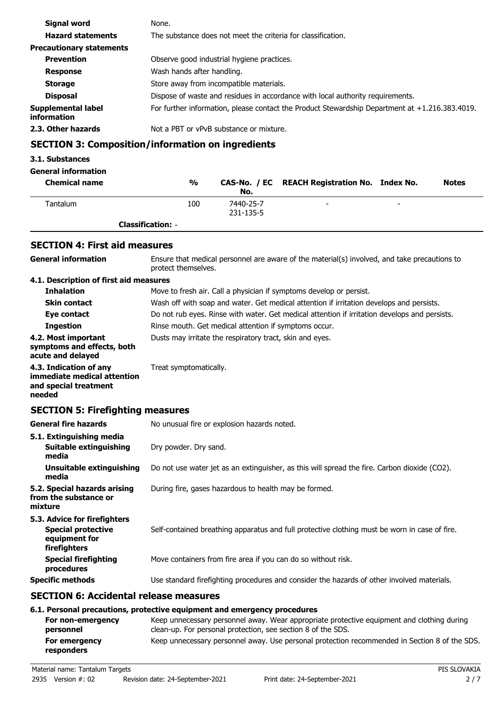| Signal word                       | None.                                                                                          |
|-----------------------------------|------------------------------------------------------------------------------------------------|
| <b>Hazard statements</b>          | The substance does not meet the criteria for classification.                                   |
| <b>Precautionary statements</b>   |                                                                                                |
| <b>Prevention</b>                 | Observe good industrial hygiene practices.                                                     |
| <b>Response</b>                   | Wash hands after handling.                                                                     |
| <b>Storage</b>                    | Store away from incompatible materials.                                                        |
| <b>Disposal</b>                   | Dispose of waste and residues in accordance with local authority requirements.                 |
| Supplemental label<br>information | For further information, please contact the Product Stewardship Department at +1.216.383.4019. |
| 2.3. Other hazards                | Not a PBT or vPvB substance or mixture.                                                        |

# **SECTION 3: Composition/information on ingredients**

## **3.1. Substances**

## **General information**

| <b>Chemical name</b> | $\frac{0}{0}$            | No.                    | CAS-No. / EC REACH Registration No. Index No. |                          | <b>Notes</b> |
|----------------------|--------------------------|------------------------|-----------------------------------------------|--------------------------|--------------|
| Tantalum             | 100                      | 7440-25-7<br>231-135-5 | -                                             | $\overline{\phantom{0}}$ |              |
|                      | <b>Classification: -</b> |                        |                                               |                          |              |

# **SECTION 4: First aid measures**

| <b>General information</b>                                                                 | Ensure that medical personnel are aware of the material(s) involved, and take precautions to<br>protect themselves.                                                                                                                   |  |
|--------------------------------------------------------------------------------------------|---------------------------------------------------------------------------------------------------------------------------------------------------------------------------------------------------------------------------------------|--|
| 4.1. Description of first aid measures                                                     |                                                                                                                                                                                                                                       |  |
| <b>Inhalation</b>                                                                          | Move to fresh air. Call a physician if symptoms develop or persist.                                                                                                                                                                   |  |
| <b>Skin contact</b>                                                                        | Wash off with soap and water. Get medical attention if irritation develops and persists.                                                                                                                                              |  |
| Eye contact                                                                                | Do not rub eyes. Rinse with water. Get medical attention if irritation develops and persists.                                                                                                                                         |  |
| <b>Ingestion</b>                                                                           | Rinse mouth. Get medical attention if symptoms occur.                                                                                                                                                                                 |  |
| 4.2. Most important<br>symptoms and effects, both<br>acute and delayed                     | Dusts may irritate the respiratory tract, skin and eyes.                                                                                                                                                                              |  |
| 4.3. Indication of any<br>immediate medical attention<br>and special treatment<br>needed   | Treat symptomatically.                                                                                                                                                                                                                |  |
| <b>SECTION 5: Firefighting measures</b>                                                    |                                                                                                                                                                                                                                       |  |
| <b>General fire hazards</b>                                                                | No unusual fire or explosion hazards noted.                                                                                                                                                                                           |  |
| 5.1. Extinguishing media                                                                   |                                                                                                                                                                                                                                       |  |
| <b>Suitable extinguishing</b><br>media                                                     | Dry powder. Dry sand.                                                                                                                                                                                                                 |  |
| <b>Unsuitable extinguishing</b><br>media                                                   | Do not use water jet as an extinguisher, as this will spread the fire. Carbon dioxide (CO2).                                                                                                                                          |  |
| 5.2. Special hazards arising<br>from the substance or<br>mixture                           | During fire, gases hazardous to health may be formed.                                                                                                                                                                                 |  |
| 5.3. Advice for firefighters<br><b>Special protective</b><br>equipment for<br>firefighters | Self-contained breathing apparatus and full protective clothing must be worn in case of fire.                                                                                                                                         |  |
| <b>Special firefighting</b><br>procedures                                                  | Move containers from fire area if you can do so without risk.                                                                                                                                                                         |  |
| <b>Specific methods</b>                                                                    | Use standard firefighting procedures and consider the hazards of other involved materials.                                                                                                                                            |  |
| <b>SECTION 6: Accidental release measures</b>                                              |                                                                                                                                                                                                                                       |  |
| For non-emergency<br>narconnal                                                             | 6.1. Personal precautions, protective equipment and emergency procedures<br>Keep unnecessary personnel away. Wear appropriate protective equipment and clothing during<br>clean-un. For personal protection, see section 8 of the SDS |  |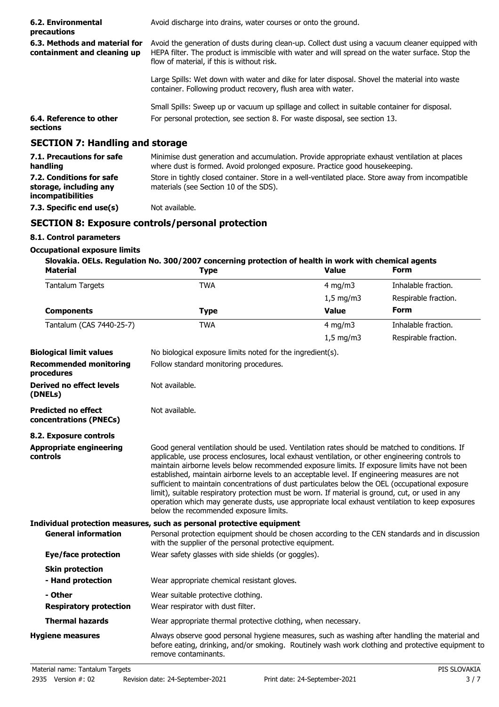| 6.2. Environmental<br>precautions                                              | Avoid discharge into drains, water courses or onto the ground.                                                                                                                                                                                     |
|--------------------------------------------------------------------------------|----------------------------------------------------------------------------------------------------------------------------------------------------------------------------------------------------------------------------------------------------|
| 6.3. Methods and material for<br>containment and cleaning up                   | Avoid the generation of dusts during clean-up. Collect dust using a vacuum cleaner equipped with<br>HEPA filter. The product is immiscible with water and will spread on the water surface. Stop the<br>flow of material, if this is without risk. |
|                                                                                | Large Spills: Wet down with water and dike for later disposal. Shovel the material into waste<br>container. Following product recovery, flush area with water.                                                                                     |
|                                                                                | Small Spills: Sweep up or vacuum up spillage and collect in suitable container for disposal.                                                                                                                                                       |
| 6.4. Reference to other<br>sections                                            | For personal protection, see section 8. For waste disposal, see section 13.                                                                                                                                                                        |
| <b>SECTION 7: Handling and storage</b>                                         |                                                                                                                                                                                                                                                    |
| 7.1. Precautions for safe<br>handling                                          | Minimise dust generation and accumulation. Provide appropriate exhaust ventilation at places<br>where dust is formed. Avoid prolonged exposure. Practice good housekeeping.                                                                        |
| 7.2. Conditions for safe<br>storage, including any<br><i>incompatibilities</i> | Store in tightly closed container. Store in a well-ventilated place. Store away from incompatible<br>materials (see Section 10 of the SDS).                                                                                                        |

**7.3. Specific end use(s)** Not available.

## **SECTION 8: Exposure controls/personal protection**

## **8.1. Control parameters**

## **Occupational exposure limits**

# **Slovakia. OELs. Regulation No. 300/2007 concerning protection of health in work with chemical agents**

| <b>Material</b>                                      | <b>Type</b>                                                                                                                                                                                                                                                                                                                                                                                                                                                                                                                                                                                                                                                                                                                                            | <b>Value</b> | <b>Form</b>          |  |
|------------------------------------------------------|--------------------------------------------------------------------------------------------------------------------------------------------------------------------------------------------------------------------------------------------------------------------------------------------------------------------------------------------------------------------------------------------------------------------------------------------------------------------------------------------------------------------------------------------------------------------------------------------------------------------------------------------------------------------------------------------------------------------------------------------------------|--------------|----------------------|--|
| <b>Tantalum Targets</b>                              | <b>TWA</b>                                                                                                                                                                                                                                                                                                                                                                                                                                                                                                                                                                                                                                                                                                                                             | $4$ mg/m $3$ | Inhalable fraction.  |  |
|                                                      |                                                                                                                                                                                                                                                                                                                                                                                                                                                                                                                                                                                                                                                                                                                                                        | $1,5$ mg/m3  | Respirable fraction. |  |
| <b>Components</b>                                    | <b>Type</b>                                                                                                                                                                                                                                                                                                                                                                                                                                                                                                                                                                                                                                                                                                                                            | <b>Value</b> | <b>Form</b>          |  |
| Tantalum (CAS 7440-25-7)                             | <b>TWA</b>                                                                                                                                                                                                                                                                                                                                                                                                                                                                                                                                                                                                                                                                                                                                             | 4 mg/m $3$   | Inhalable fraction.  |  |
|                                                      |                                                                                                                                                                                                                                                                                                                                                                                                                                                                                                                                                                                                                                                                                                                                                        | $1,5$ mg/m3  | Respirable fraction. |  |
| <b>Biological limit values</b>                       | No biological exposure limits noted for the ingredient(s).                                                                                                                                                                                                                                                                                                                                                                                                                                                                                                                                                                                                                                                                                             |              |                      |  |
| <b>Recommended monitoring</b><br>procedures          | Follow standard monitoring procedures.                                                                                                                                                                                                                                                                                                                                                                                                                                                                                                                                                                                                                                                                                                                 |              |                      |  |
| <b>Derived no effect levels</b><br>(DNELs)           | Not available.                                                                                                                                                                                                                                                                                                                                                                                                                                                                                                                                                                                                                                                                                                                                         |              |                      |  |
| <b>Predicted no effect</b><br>concentrations (PNECs) | Not available.                                                                                                                                                                                                                                                                                                                                                                                                                                                                                                                                                                                                                                                                                                                                         |              |                      |  |
| 8.2. Exposure controls                               |                                                                                                                                                                                                                                                                                                                                                                                                                                                                                                                                                                                                                                                                                                                                                        |              |                      |  |
| <b>Appropriate engineering</b><br>controls           | Good general ventilation should be used. Ventilation rates should be matched to conditions. If<br>applicable, use process enclosures, local exhaust ventilation, or other engineering controls to<br>maintain airborne levels below recommended exposure limits. If exposure limits have not been<br>established, maintain airborne levels to an acceptable level. If engineering measures are not<br>sufficient to maintain concentrations of dust particulates below the OEL (occupational exposure<br>limit), suitable respiratory protection must be worn. If material is ground, cut, or used in any<br>operation which may generate dusts, use appropriate local exhaust ventilation to keep exposures<br>below the recommended exposure limits. |              |                      |  |
|                                                      | Individual protection measures, such as personal protective equipment                                                                                                                                                                                                                                                                                                                                                                                                                                                                                                                                                                                                                                                                                  |              |                      |  |
| <b>General information</b>                           | Personal protection equipment should be chosen according to the CEN standards and in discussion<br>with the supplier of the personal protective equipment.                                                                                                                                                                                                                                                                                                                                                                                                                                                                                                                                                                                             |              |                      |  |
| <b>Eye/face protection</b>                           | Wear safety glasses with side shields (or goggles).                                                                                                                                                                                                                                                                                                                                                                                                                                                                                                                                                                                                                                                                                                    |              |                      |  |
| <b>Skin protection</b>                               |                                                                                                                                                                                                                                                                                                                                                                                                                                                                                                                                                                                                                                                                                                                                                        |              |                      |  |
| - Hand protection                                    | Wear appropriate chemical resistant gloves.                                                                                                                                                                                                                                                                                                                                                                                                                                                                                                                                                                                                                                                                                                            |              |                      |  |
| - Other                                              | Wear suitable protective clothing.                                                                                                                                                                                                                                                                                                                                                                                                                                                                                                                                                                                                                                                                                                                     |              |                      |  |
| <b>Respiratory protection</b>                        | Wear respirator with dust filter.                                                                                                                                                                                                                                                                                                                                                                                                                                                                                                                                                                                                                                                                                                                      |              |                      |  |
| <b>Thermal hazards</b>                               | Wear appropriate thermal protective clothing, when necessary.                                                                                                                                                                                                                                                                                                                                                                                                                                                                                                                                                                                                                                                                                          |              |                      |  |
| <b>Hygiene measures</b>                              | Always observe good personal hygiene measures, such as washing after handling the material and<br>before eating, drinking, and/or smoking. Routinely wash work clothing and protective equipment to<br>remove contaminants.                                                                                                                                                                                                                                                                                                                                                                                                                                                                                                                            |              |                      |  |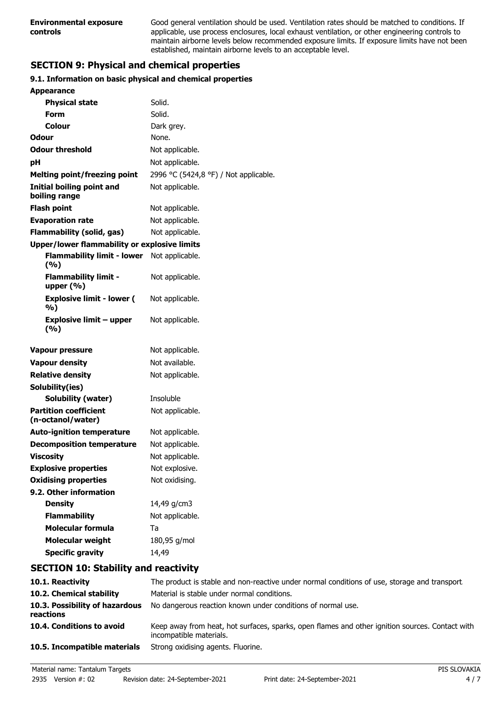Good general ventilation should be used. Ventilation rates should be matched to conditions. If applicable, use process enclosures, local exhaust ventilation, or other engineering controls to maintain airborne levels below recommended exposure limits. If exposure limits have not been established, maintain airborne levels to an acceptable level.

# **SECTION 9: Physical and chemical properties**

## **9.1. Information on basic physical and chemical properties**

| <b>Appearance</b>                                   |                                       |
|-----------------------------------------------------|---------------------------------------|
| <b>Physical state</b>                               | Solid.                                |
| Form                                                | Solid.                                |
| Colour                                              | Dark grey.                            |
| <b>Odour</b>                                        | None.                                 |
| <b>Odour threshold</b>                              | Not applicable.                       |
| рH                                                  | Not applicable.                       |
| <b>Melting point/freezing point</b>                 | 2996 °C (5424,8 °F) / Not applicable. |
| <b>Initial boiling point and</b><br>boiling range   | Not applicable.                       |
| <b>Flash point</b>                                  | Not applicable.                       |
| <b>Evaporation rate</b>                             | Not applicable.                       |
| Flammability (solid, gas)                           | Not applicable.                       |
| <b>Upper/lower flammability or explosive limits</b> |                                       |
| <b>Flammability limit - lower</b><br>(9/6)          | Not applicable.                       |
| <b>Flammability limit -</b><br>upper $(\% )$        | Not applicable.                       |
| <b>Explosive limit - lower (</b><br>%)              | Not applicable.                       |
| <b>Explosive limit - upper</b><br>(%)               | Not applicable.                       |
| <b>Vapour pressure</b>                              | Not applicable.                       |
| <b>Vapour density</b>                               | Not available.                        |
| <b>Relative density</b>                             | Not applicable.                       |
| Solubility(ies)                                     |                                       |
| Solubility (water)                                  | Insoluble                             |
| <b>Partition coefficient</b><br>(n-octanol/water)   | Not applicable.                       |
| <b>Auto-ignition temperature</b>                    | Not applicable.                       |
| <b>Decomposition temperature</b>                    | Not applicable.                       |
| <b>Viscosity</b>                                    | Not applicable.                       |
| <b>Explosive properties</b>                         | Not explosive.                        |
| <b>Oxidising properties</b>                         | Not oxidising.                        |
| 9.2. Other information                              |                                       |
| <b>Density</b>                                      | 14,49 g/cm3                           |
| <b>Flammability</b>                                 | Not applicable.                       |
| <b>Molecular formula</b>                            | Ta                                    |
| <b>Molecular weight</b>                             | 180,95 g/mol                          |
| <b>Specific gravity</b>                             | 14,49                                 |

## **SECTION 10: Stability and reactivity**

| 10.1. Reactivity                            | The product is stable and non-reactive under normal conditions of use, storage and transport                               |
|---------------------------------------------|----------------------------------------------------------------------------------------------------------------------------|
| 10.2. Chemical stability                    | Material is stable under normal conditions.                                                                                |
| 10.3. Possibility of hazardous<br>reactions | No dangerous reaction known under conditions of normal use.                                                                |
| 10.4. Conditions to avoid                   | Keep away from heat, hot surfaces, sparks, open flames and other ignition sources. Contact with<br>incompatible materials. |
| 10.5. Incompatible materials                | Strong oxidising agents. Fluorine.                                                                                         |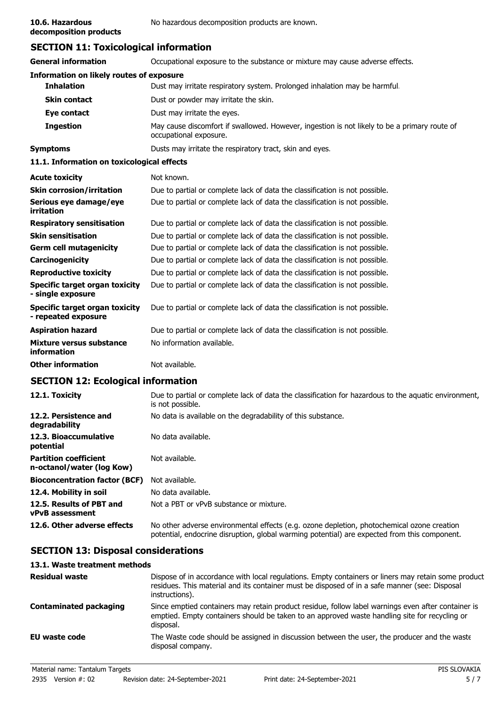**decomposition products**

# **SECTION 11: Toxicological information**

| <b>General information</b>                                 | Occupational exposure to the substance or mixture may cause adverse effects.                                           |  |
|------------------------------------------------------------|------------------------------------------------------------------------------------------------------------------------|--|
| <b>Information on likely routes of exposure</b>            |                                                                                                                        |  |
| <b>Inhalation</b>                                          | Dust may irritate respiratory system. Prolonged inhalation may be harmful.                                             |  |
| <b>Skin contact</b>                                        | Dust or powder may irritate the skin.                                                                                  |  |
| Eye contact                                                | Dust may irritate the eyes.                                                                                            |  |
| <b>Ingestion</b>                                           | May cause discomfort if swallowed. However, ingestion is not likely to be a primary route of<br>occupational exposure. |  |
| <b>Symptoms</b>                                            | Dusts may irritate the respiratory tract, skin and eyes.                                                               |  |
| 11.1. Information on toxicological effects                 |                                                                                                                        |  |
| <b>Acute toxicity</b>                                      | Not known.                                                                                                             |  |
| <b>Skin corrosion/irritation</b>                           | Due to partial or complete lack of data the classification is not possible.                                            |  |
| Serious eye damage/eye<br>irritation                       | Due to partial or complete lack of data the classification is not possible.                                            |  |
| <b>Respiratory sensitisation</b>                           | Due to partial or complete lack of data the classification is not possible.                                            |  |
| <b>Skin sensitisation</b>                                  | Due to partial or complete lack of data the classification is not possible.                                            |  |
| <b>Germ cell mutagenicity</b>                              | Due to partial or complete lack of data the classification is not possible.                                            |  |
| Carcinogenicity                                            | Due to partial or complete lack of data the classification is not possible.                                            |  |
| <b>Reproductive toxicity</b>                               | Due to partial or complete lack of data the classification is not possible.                                            |  |
| <b>Specific target organ toxicity</b><br>- single exposure | Due to partial or complete lack of data the classification is not possible.                                            |  |
| Specific target organ toxicity<br>- repeated exposure      | Due to partial or complete lack of data the classification is not possible.                                            |  |
| <b>Aspiration hazard</b>                                   | Due to partial or complete lack of data the classification is not possible.                                            |  |
| <b>Mixture versus substance</b><br>information             | No information available.                                                                                              |  |
| <b>Other information</b>                                   | Not available.                                                                                                         |  |
|                                                            |                                                                                                                        |  |

# **SECTION 12: Ecological information**

| 12.1. Toxicity                                            | Due to partial or complete lack of data the classification for hazardous to the aquatic environment,<br>is not possible.                                                                   |
|-----------------------------------------------------------|--------------------------------------------------------------------------------------------------------------------------------------------------------------------------------------------|
| 12.2. Persistence and<br>degradability                    | No data is available on the degradability of this substance.                                                                                                                               |
| 12.3. Bioaccumulative<br>potential                        | No data available.                                                                                                                                                                         |
| <b>Partition coefficient</b><br>n-octanol/water (log Kow) | Not available.                                                                                                                                                                             |
| <b>Bioconcentration factor (BCF)</b>                      | Not available.                                                                                                                                                                             |
| 12.4. Mobility in soil                                    | No data available.                                                                                                                                                                         |
| 12.5. Results of PBT and<br><b>vPvB</b> assessment        | Not a PBT or vPvB substance or mixture.                                                                                                                                                    |
| 12.6. Other adverse effects                               | No other adverse environmental effects (e.g. ozone depletion, photochemical ozone creation<br>potential, endocrine disruption, global warming potential) are expected from this component. |

# **SECTION 13: Disposal considerations**

## **13.1. Waste treatment methods**

| <b>Residual waste</b>         | Dispose of in accordance with local regulations. Empty containers or liners may retain some product<br>residues. This material and its container must be disposed of in a safe manner (see: Disposal<br>instructions). |
|-------------------------------|------------------------------------------------------------------------------------------------------------------------------------------------------------------------------------------------------------------------|
| <b>Contaminated packaging</b> | Since emptied containers may retain product residue, follow label warnings even after container is<br>emptied. Empty containers should be taken to an approved waste handling site for recycling or<br>disposal.       |
| EU waste code                 | The Waste code should be assigned in discussion between the user, the producer and the waste<br>disposal company.                                                                                                      |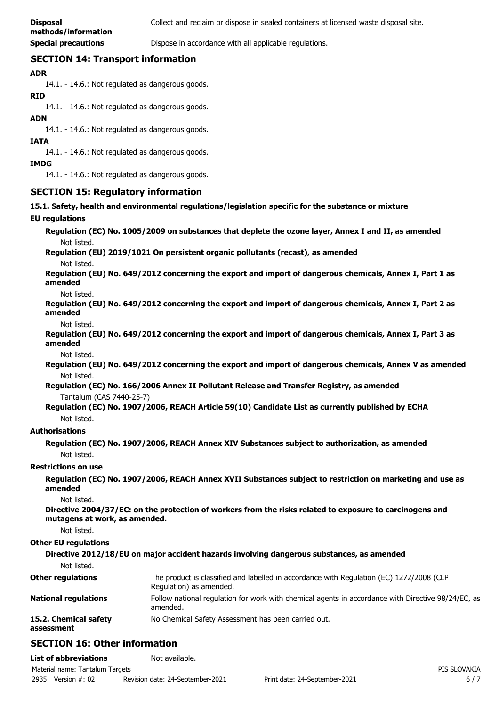**Special precautions Dispose in accordance with all applicable regulations.** 

## **SECTION 14: Transport information**

## **ADR**

14.1. - 14.6.: Not regulated as dangerous goods.

#### **RID**

14.1. - 14.6.: Not regulated as dangerous goods.

### **ADN**

14.1. - 14.6.: Not regulated as dangerous goods.

#### **IATA**

14.1. - 14.6.: Not regulated as dangerous goods.

#### **IMDG**

14.1. - 14.6.: Not regulated as dangerous goods.

## **SECTION 15: Regulatory information**

**15.1. Safety, health and environmental regulations/legislation specific for the substance or mixture**

#### **EU regulations**

**Regulation (EC) No. 1005/2009 on substances that deplete the ozone layer, Annex I and II, as amended** Not listed.

**Regulation (EU) 2019/1021 On persistent organic pollutants (recast), as amended**

Not listed.

**Regulation (EU) No. 649/2012 concerning the export and import of dangerous chemicals, Annex I, Part 1 as amended**

Not listed.

**Regulation (EU) No. 649/2012 concerning the export and import of dangerous chemicals, Annex I, Part 2 as amended**

Not listed.

**Regulation (EU) No. 649/2012 concerning the export and import of dangerous chemicals, Annex I, Part 3 as amended**

Not listed.

**Regulation (EU) No. 649/2012 concerning the export and import of dangerous chemicals, Annex V as amended** Not listed.

**Regulation (EC) No. 166/2006 Annex II Pollutant Release and Transfer Registry, as amended** Tantalum (CAS 7440-25-7)

**Regulation (EC) No. 1907/2006, REACH Article 59(10) Candidate List as currently published by ECHA** Not listed.

### **Authorisations**

**Regulation (EC) No. 1907/2006, REACH Annex XIV Substances subject to authorization, as amended** Not listed.

### **Restrictions on use**

**Regulation (EC) No. 1907/2006, REACH Annex XVII Substances subject to restriction on marketing and use as amended**

Not listed.

**Directive 2004/37/EC: on the protection of workers from the risks related to exposure to carcinogens and mutagens at work, as amended.**

Not listed.

### **Other EU regulations**

**Directive 2012/18/EU on major accident hazards involving dangerous substances, as amended** Not listed. The product is classified and labelled in accordance with Regulation (EC) 1272/2008 (CLP Regulation) as amended. **Other regulations** Follow national regulation for work with chemical agents in accordance with Directive 98/24/EC, as amended. **National regulations 15.2. Chemical safety** No Chemical Safety Assessment has been carried out. **assessment**

# **SECTION 16: Other information**

| <b>List of abbreviations</b>    | Not available.                   |                               |              |
|---------------------------------|----------------------------------|-------------------------------|--------------|
| Material name: Tantalum Targets |                                  |                               | PIS SLOVAKIA |
| 2935<br>Version #: 02           | Revision date: 24-September-2021 | Print date: 24-September-2021 | 6/7          |